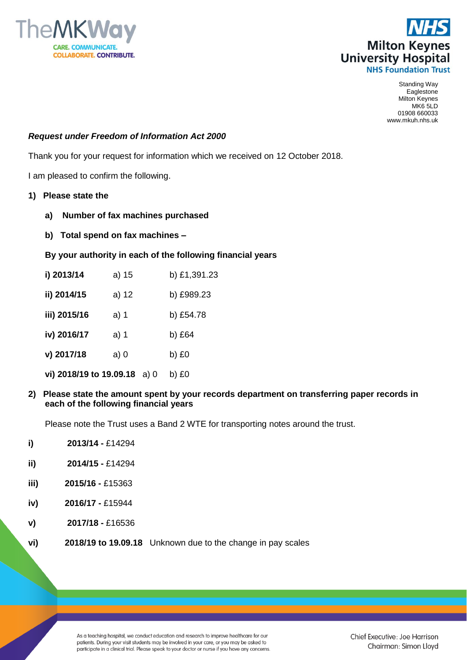



Standing Way Eaglestone Milton Keynes MK6 5LD 01908 660033 www.mkuh.nhs.uk

## *Request under Freedom of Information Act 2000*

Thank you for your request for information which we received on 12 October 2018.

I am pleased to confirm the following.

- **1) Please state the**
	- **a) Number of fax machines purchased**
	- **b) Total spend on fax machines –**

## **By your authority in each of the following financial years**

- **i) 2013/14** a) 15 b) £1,391.23 **ii) 2014/15** a) 12 b) £989.23 **iii) 2015/16** a) 1 b) £54.78 **iv) 2016/17** a) 1 b) £64 **v) 2017/18** a) 0 b) £0 **vi) 2018/19 to 19.09.18** a) 0 b) £0
- **2) Please state the amount spent by your records department on transferring paper records in each of the following financial years**

Please note the Trust uses a Band 2 WTE for transporting notes around the trust.

- **i) 2013/14 -** £14294
- **ii) 2014/15 -** £14294
- **iii) 2015/16 -** £15363
- **iv) 2016/17 -** £15944
- **v) 2017/18 -** £16536
- **vi) 2018/19 to 19.09.18** Unknown due to the change in pay scales

As a teaching hospital, we conduct education and research to improve healthcare for our patients. During your visit students may be involved in your care, or you may be asked to participate in a clinical trial. Please speak to your doctor or nurse if you have any concerns.